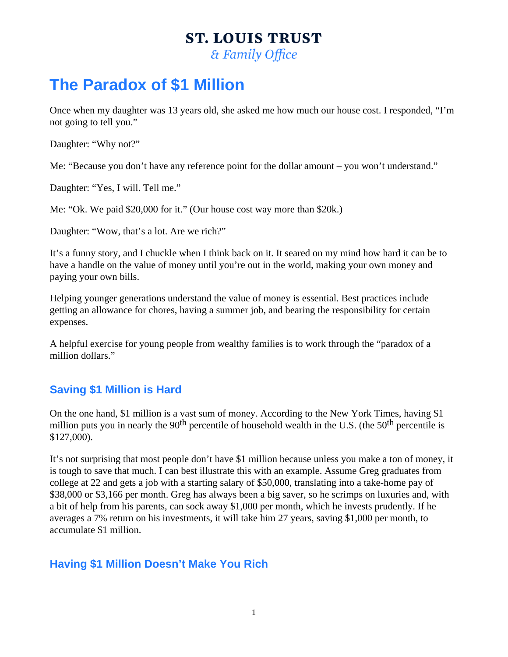## The Paradox of \$1 Million

Once when my daughter was 13 years old, she asked me how much our house cost. I responded, "I'm not going to tell you."

Daughter: "Why not?"

Me: "Because you don't have any reference point for the dollar amount – you won't understand."

Daughter: "Yes, I will. Tell me."

Me: "Ok. We paid \$20,000 for it." (Our house cost way more than \$20k.)

Daughter: "Wow, that's a lot. Are we rich?"

It's a funny story, and I chuckle when I think back on it. It seared on my mind how hard it can be to have a handle on the value of money until you're out in the world, making your own money and paying your own bills.

Helping younger generations understand the value of money is essential. Best practices include getting an allowance for chores, having a summer job, and bearing the responsibility for certain expenses.

A helpful exercise for young people from wealthy families is to work through the "paradox of a million dollars."

## Saving \$1 Million is Hard

On the one hand, \$1 million is a vast sum of money. According **to the York Times** having \$1 million puts you in nearly the  $\bigcirc$  percentile of household wealth in the U.S. (the  $\bigcirc$  percentile is \$127,000).

It's not surprising that most people don't have \$1 million because unless you make a ton of money, it is tough to save that much. I can best illustrate this with an example. Assume Greg graduates from college at 22 and gets a job with a starting salary of \$50,000, translating into a take-home pay of \$38,000 or \$3,166 per month. Greg has always been a big saver, so he scrimps on luxuries and, with a bit of help from his parents, can sock away \$1,000 per month, which he invests prudently. If he averages a 7% return on his investments, it will take him 27 years, saving \$1,000 per month, to accumulate \$1 million.

## Having \$1 Million Doesn't Make You Rich